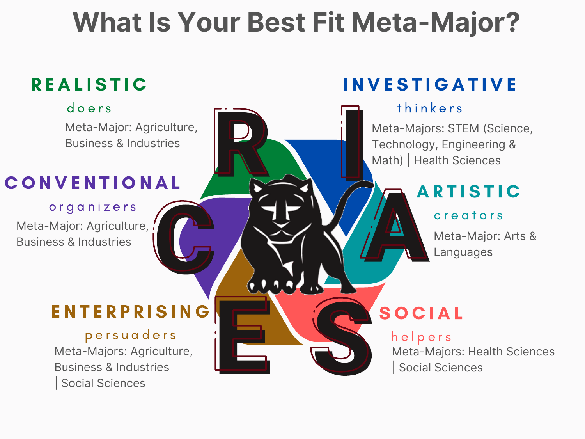# **What Is Your Best Fit Meta-Major?**

# **REALISTIC**

#### d o e r s

[Meta-Major:](https://www.hartnell.edu/academics-affairs/meta-majors/business-agriculture-and-industries/index.html) Agriculture, Business & Industries

# **CONVENTIONAL**

o r g a n i z e r s [Meta-Major:](https://www.hartnell.edu/academics-affairs/meta-majors/business-agriculture-and-industries/index.html) Agriculture, : Business & Industries

### **ENTERPRISING**

persuaders [Meta-Majors:](https://www.hartnell.edu/academics-affairs/meta-majors/business-agriculture-and-industries/index.html) Agriculture, Business & Industries | Social [Sciences](https://www.hartnell.edu/academics-affairs/meta-majors/social-sciences/index.html)

### **INVESTIGATIVE**

### thinkers

[Meta-Majors:](https://www.hartnell.edu/academics-affairs/meta-majors/stem/index.html) STEM (Science, Technology, Engineering & Math) | Health [Sciences](https://www.hartnell.edu/academics-affairs/meta-majors/health-sciences/index.html)

# **ARTISTIC**

#### c r e a t o r s

[Meta-Major:](https://www.hartnell.edu/academics-affairs/meta-majors/arts-and-languages/index.html) Arts & Languages

## **SOCIAL**

helpers [Meta-Majors:](https://www.hartnell.edu/academics-affairs/meta-majors/business-agriculture-and-industries/index.html) Health Sciences | Social [Sciences](https://www.hartnell.edu/academics-affairs/meta-majors/social-sciences/index.html)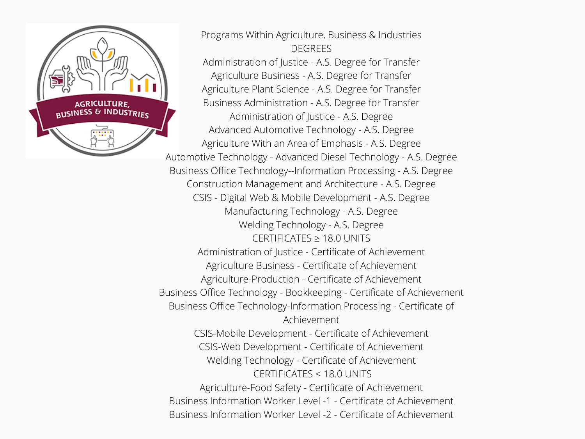

Programs Within Agriculture, Business & Industries **DEGREES** [Administration](https://pm.hartnell.edu/academics/interest-clusters/c56532eb-4656-4851-872a-cc192ecfce22/programs/0517df85-42ae-2f81-f0b4-8ee2ea81839e) of Justice - A.S. Degree for Transfer [Agriculture](https://pm.hartnell.edu/academics/interest-clusters/c56532eb-4656-4851-872a-cc192ecfce22/programs/cac7abeb-889c-1cd6-cddf-a9d2b1e405bf) Business - A.S. Degree for Transfer [Agriculture](https://pm.hartnell.edu/academics/interest-clusters/c56532eb-4656-4851-872a-cc192ecfce22/programs/dc821f01-078c-d17b-f9fd-bba3ce0e318b) Plant Science - A.S. Degree for Transfer Business [Administration](https://pm.hartnell.edu/academics/interest-clusters/c56532eb-4656-4851-872a-cc192ecfce22/programs/ce276f10-f960-e95e-ff95-647311958e1a) - A.S. Degree for Transfer [Administration](https://pm.hartnell.edu/academics/interest-clusters/c56532eb-4656-4851-872a-cc192ecfce22/programs/22e9ba83-8911-5ec0-0e1d-9ecd79f1aea9) of Justice - A.S. Degree Advanced [Automotive](https://pm.hartnell.edu/academics/interest-clusters/c56532eb-4656-4851-872a-cc192ecfce22/programs/ab5305db-0486-3335-e3a1-8489c59c8381) Technology - A.S. Degree [Agriculture](https://pm.hartnell.edu/academics/interest-clusters/c56532eb-4656-4851-872a-cc192ecfce22/programs/3b198874-6693-8662-cb39-fc1a470ccc65) With an Area of Emphasis - A.S. Degree [Automotive](https://pm.hartnell.edu/academics/interest-clusters/c56532eb-4656-4851-872a-cc192ecfce22/programs/53051614-31aa-b62b-bfa0-ee6c06c29a42) Technology - Advanced Diesel Technology - A.S. Degree Business Office [Technology--Information](https://pm.hartnell.edu/academics/interest-clusters/c56532eb-4656-4851-872a-cc192ecfce22/programs/2c5d29d8-e080-0415-8b59-15f19913016d) Processing - A.S. Degree Construction [Management](https://pm.hartnell.edu/academics/interest-clusters/c56532eb-4656-4851-872a-cc192ecfce22/programs/46be290c-03de-b430-6326-6e9402df8e66) and Architecture - A.S. Degree CSIS - Digital Web & Mobile [Development](https://pm.hartnell.edu/academics/interest-clusters/c56532eb-4656-4851-872a-cc192ecfce22/programs/38e0045f-4e30-dda1-567f-0c7dd5dad7b1) - A.S. Degree [Manufacturing](https://pm.hartnell.edu/academics/interest-clusters/c56532eb-4656-4851-872a-cc192ecfce22/programs/3f8b04ac-fecb-c1c5-56be-e925b0c5bfea) Technology - A.S. Degree Welding [Technology](https://pm.hartnell.edu/academics/interest-clusters/c56532eb-4656-4851-872a-cc192ecfce22/programs/32bc45e6-4a28-446b-9236-4b00d62f17c5) - A.S. Degree CERTIFICATES ≥ 18.0 UNITS [Administration](https://pm.hartnell.edu/academics/interest-clusters/c56532eb-4656-4851-872a-cc192ecfce22/programs/3856ed37-c932-5088-74a0-85090ba948ae) of Justice - Certificate of Achievement Agriculture Business - Certificate of [Achievement](https://pm.hartnell.edu/academics/interest-clusters/c56532eb-4656-4851-872a-cc192ecfce22/programs/85a12ab4-c65c-949d-a1fa-ea6136a581ce) [Agriculture-Production](https://pm.hartnell.edu/academics/interest-clusters/c56532eb-4656-4851-872a-cc192ecfce22/programs/6db0f58b-60a8-e1a2-63dc-e431eabd933f) - Certificate of Achievement Business Office Technology - Bookkeeping - Certificate of [Achievement](https://pm.hartnell.edu/academics/interest-clusters/c56532eb-4656-4851-872a-cc192ecfce22/programs/741ea4a2-7a17-2aca-138c-239c15d1c942) Business Office [Technology-Information](https://pm.hartnell.edu/academics/interest-clusters/c56532eb-4656-4851-872a-cc192ecfce22/programs/42287e12-d349-ed37-068e-417876ab79bc) Processing - Certificate of Achievement CSIS-Mobile [Development](https://pm.hartnell.edu/academics/interest-clusters/c56532eb-4656-4851-872a-cc192ecfce22/programs/09bda464-4f66-f399-4f07-eff48fe09e25) - Certificate of Achievement CSIS-Web [Development](https://pm.hartnell.edu/academics/interest-clusters/c56532eb-4656-4851-872a-cc192ecfce22/programs/f7a58750-491c-94f1-9a0e-8b0a9d3fd059) - Certificate of Achievement Welding Technology - Certificate of [Achievement](https://pm.hartnell.edu/academics/interest-clusters/c56532eb-4656-4851-872a-cc192ecfce22/programs/e0bef06f-6062-5517-fb4f-7441637e037f) CERTIFICATES < 18.0 UNITS [Agriculture-Food](https://pm.hartnell.edu/academics/interest-clusters/c56532eb-4656-4851-872a-cc192ecfce22/programs/c6e5a5e8-180c-35a8-3b2a-83648896e69f) Safety - Certificate of Achievement Business Information Worker Level -1 - Certificate of [Achievement](https://pm.hartnell.edu/academics/interest-clusters/c56532eb-4656-4851-872a-cc192ecfce22/programs/0ab3cdac-1a29-2293-73b1-5999c5f1f342) Business Information Worker Level -2 - Certificate of [Achievement](https://pm.hartnell.edu/academics/interest-clusters/c56532eb-4656-4851-872a-cc192ecfce22/programs/95e0951f-e4e5-0799-d88e-50a72cffe35c)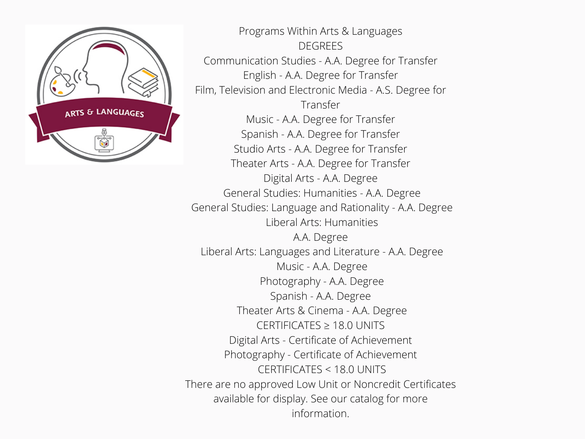

Programs Within Arts & Languages **DEGREES** [Communication](https://pm.hartnell.edu/academics/interest-clusters/ffb87910-fa72-49cd-8f7e-5d6cf9acc33f/programs/69716a16-0f4d-c3e1-72cb-476157721950) Studies - A.A. Degree for Transfer English - A.A. Degree for [Transfer](https://pm.hartnell.edu/academics/interest-clusters/ffb87910-fa72-49cd-8f7e-5d6cf9acc33f/programs/683d4576-b2ae-6712-1e47-5a770140d492) Film, Television and [Electronic](https://pm.hartnell.edu/academics/interest-clusters/ffb87910-fa72-49cd-8f7e-5d6cf9acc33f/programs/f8165230-e8fa-a465-fe06-4e19f17e01fa) Media - A.S. Degree for Transfer Music - A.A. Degree for [Transfer](https://pm.hartnell.edu/academics/interest-clusters/ffb87910-fa72-49cd-8f7e-5d6cf9acc33f/programs/4122b566-6370-5b7d-452a-4d1f390149f7) Spanish - A.A. Degree for [Transfer](https://pm.hartnell.edu/academics/interest-clusters/ffb87910-fa72-49cd-8f7e-5d6cf9acc33f/programs/4a3ac09c-e89c-e488-3240-58ce175ccbf5) Studio Arts - A.A. Degree for [Transfer](https://pm.hartnell.edu/academics/interest-clusters/ffb87910-fa72-49cd-8f7e-5d6cf9acc33f/programs/5bb50a0b-2f05-2849-a653-38ef669497fd) Theater Arts - A.A. Degree for [Transfer](https://pm.hartnell.edu/academics/interest-clusters/ffb87910-fa72-49cd-8f7e-5d6cf9acc33f/programs/2423532e-2f82-5701-03da-c69b11c2b4a1) Digital Arts - A.A. [Degree](https://pm.hartnell.edu/academics/interest-clusters/ffb87910-fa72-49cd-8f7e-5d6cf9acc33f/programs/12029b25-060b-3e84-2f18-7c393a0a26fe) General Studies: [Humanities](https://pm.hartnell.edu/academics/interest-clusters/ffb87910-fa72-49cd-8f7e-5d6cf9acc33f/programs/6d03763d-a41e-6384-961d-381e18577739) - A.A. Degree General Studies: Language and [Rationality](https://pm.hartnell.edu/academics/interest-clusters/ffb87910-fa72-49cd-8f7e-5d6cf9acc33f/programs/3dd39f36-2a10-8511-cd72-cad93fa3bb85) - A.A. Degree Liberal Arts: [Humanities](https://pm.hartnell.edu/academics/interest-clusters/ffb87910-fa72-49cd-8f7e-5d6cf9acc33f/programs/cbd9773a-e7a8-d4a1-64b0-74ab1706029e) A.A. [Degree](https://pm.hartnell.edu/academics/interest-clusters/ffb87910-fa72-49cd-8f7e-5d6cf9acc33f/programs/cbd9773a-e7a8-d4a1-64b0-74ab1706029e) Liberal Arts: [Languages](https://pm.hartnell.edu/academics/interest-clusters/ffb87910-fa72-49cd-8f7e-5d6cf9acc33f/programs/aee955cb-0fef-2908-947b-d3b58d483107) and Literature - A.A. Degree Music - A.A. [Degree](https://pm.hartnell.edu/academics/interest-clusters/ffb87910-fa72-49cd-8f7e-5d6cf9acc33f/programs/d683a83e-0c3a-da86-28eb-e28c04f5862b) [Photography](https://pm.hartnell.edu/academics/interest-clusters/ffb87910-fa72-49cd-8f7e-5d6cf9acc33f/programs/e40ee7e1-c951-fb07-6c52-a65762a435ae) - A.A. Degree [Spanish](https://pm.hartnell.edu/academics/interest-clusters/ffb87910-fa72-49cd-8f7e-5d6cf9acc33f/programs/5090872c-654c-3bb3-75fb-cc03148e6025) - A.A. Degree [Theater](https://pm.hartnell.edu/academics/interest-clusters/ffb87910-fa72-49cd-8f7e-5d6cf9acc33f/programs/f45fed18-d21c-cd04-7b84-fe6cef27dd6b) Arts & Cinema - A.A. Degree CERTIFICATES ≥ 18.0 UNITS Digital Arts - Certificate of [Achievement](https://pm.hartnell.edu/academics/interest-clusters/ffb87910-fa72-49cd-8f7e-5d6cf9acc33f/programs/d9edb6b5-090d-d399-0533-b74a61295914) [Photography](https://pm.hartnell.edu/academics/interest-clusters/ffb87910-fa72-49cd-8f7e-5d6cf9acc33f/programs/78fed404-c54b-1f54-1b16-3fad8b46a7c2) - Certificate of Achievement CERTIFICATES < 18.0 UNITS There are no approved Low Unit or Noncredit Certificates available for display. See our [catalog](https://www.hartnell.edu/academics-affairs/catalogs.html) for more information.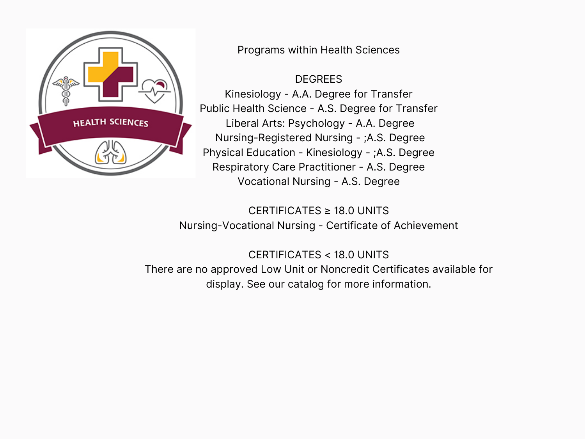

Programs within Health Sciences

DEGREES

Kinesiology - A.A. Degree for Transfer Public Health Science - A.S. Degree for Transfer Liberal Arts: Psychology - A.A. Degree Nursing-Registered Nursing - ;A.S. Degree Physical Education - Kinesiology - ;A.S. Degree Respiratory Care Practitioner - A.S. Degree Vocational Nursing - A.S. Degree

CERTIFICATES ≥ 18.0 UNITS Nursing-Vocational Nursing - Certificate of Achievement

CERTIFICATES < 18.0 UNITS There are no approved Low Unit or Noncredit Certificates available for display. See our catalog for more information.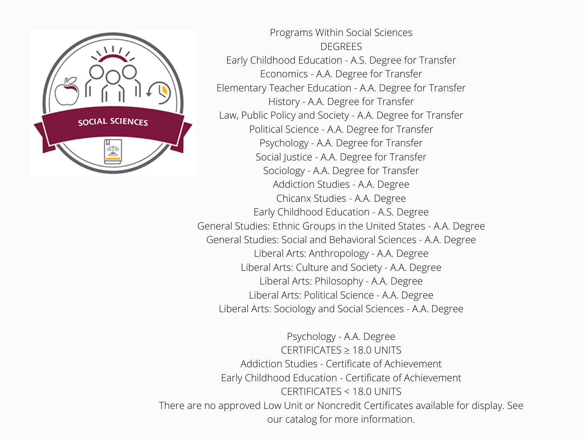

Programs Within Social Sciences **DEGREES** Early [Childhood](https://pm.hartnell.edu/academics/interest-clusters/9a133b6e-c85b-4dd1-b4c3-4936a867c17b/programs/07926461-0d6b-6bc7-8bca-75357337e6c9) Education - A.S. Degree for Transfer [Economics](https://pm.hartnell.edu/academics/interest-clusters/9a133b6e-c85b-4dd1-b4c3-4936a867c17b/programs/e4c02612-816c-08e6-ee54-59883cfcc60d) - A.A. Degree for Transfer [Elementary](https://pm.hartnell.edu/academics/interest-clusters/9a133b6e-c85b-4dd1-b4c3-4936a867c17b/programs/558fb771-e1d1-8723-95f3-97787ac1d5ba) Teacher Education - A.A. Degree for Transfer History - A.A. Degree for [Transfer](https://pm.hartnell.edu/academics/interest-clusters/9a133b6e-c85b-4dd1-b4c3-4936a867c17b/programs/09c6f8f1-f51f-6253-6a82-964f553c1979) Law, Public Policy and Society - A.A. Degree for [Transfer](https://pm.hartnell.edu/academics/interest-clusters/9a133b6e-c85b-4dd1-b4c3-4936a867c17b/programs/fa5e9a9a-c9a7-7ca8-22f8-9e1a3b27d37a) Political Science - A.A. Degree for [Transfer](https://pm.hartnell.edu/academics/interest-clusters/9a133b6e-c85b-4dd1-b4c3-4936a867c17b/programs/25308219-eeb0-3fdc-6054-37c7fc6e715d) [Psychology](https://pm.hartnell.edu/academics/interest-clusters/9a133b6e-c85b-4dd1-b4c3-4936a867c17b/programs/cfa61946-a089-c50e-64c0-2f7fa5cf59ff) - A.A. Degree for Transfer Social Justice - A.A. Degree for [Transfer](https://pm.hartnell.edu/academics/interest-clusters/9a133b6e-c85b-4dd1-b4c3-4936a867c17b/programs/22dfb524-bb40-0492-9891-5a1613f6d081) [Sociology](https://pm.hartnell.edu/academics/interest-clusters/9a133b6e-c85b-4dd1-b4c3-4936a867c17b/programs/5e93ad93-85df-62c9-ce72-191513b7b060) - A.A. Degree for Transfer [Addiction](https://pm.hartnell.edu/academics/interest-clusters/9a133b6e-c85b-4dd1-b4c3-4936a867c17b/programs/87fb8438-8eb3-007f-22f0-66220319f006) Studies - A.A. Degree [Chicanx](https://pm.hartnell.edu/academics/interest-clusters/9a133b6e-c85b-4dd1-b4c3-4936a867c17b/programs/c2912a61-aa4b-b9ed-4c9e-8d1e395b4251) Studies - A.A. Degree Early [Childhood](https://pm.hartnell.edu/academics/interest-clusters/9a133b6e-c85b-4dd1-b4c3-4936a867c17b/programs/6a1beb00-fe17-1f83-6ac5-eb22885da07a) Education - A.S. Degree [General](https://pm.hartnell.edu/academics/interest-clusters/9a133b6e-c85b-4dd1-b4c3-4936a867c17b/programs/967fcf38-f6e7-c969-7402-b3d4b590e8c3) Studies: Ethnic Groups in the United States - A.A. Degree General Studies: Social and [Behavioral](https://pm.hartnell.edu/academics/interest-clusters/9a133b6e-c85b-4dd1-b4c3-4936a867c17b/programs/8cb91cb9-d983-e35c-9f62-6271b8ff2c60) Sciences - A.A. Degree Liberal Arts: [Anthropology](https://pm.hartnell.edu/academics/interest-clusters/9a133b6e-c85b-4dd1-b4c3-4936a867c17b/programs/a2825e5f-03af-cab7-6ef4-6d01690d735a) - A.A. Degree Liberal Arts: [Culture](https://pm.hartnell.edu/academics/interest-clusters/9a133b6e-c85b-4dd1-b4c3-4936a867c17b/programs/39d4df18-5694-cb23-9318-0b8c489378aa) and Society - A.A. Degree Liberal Arts: [Philosophy](https://pm.hartnell.edu/academics/interest-clusters/9a133b6e-c85b-4dd1-b4c3-4936a867c17b/programs/acae1d62-32c4-cd5a-50fe-d98170ff299b) - A.A. Degree Liberal Arts: [Political](https://pm.hartnell.edu/academics/interest-clusters/9a133b6e-c85b-4dd1-b4c3-4936a867c17b/programs/6802644a-49e6-aa59-df57-e9305041d366) Science - A.A. Degree Liberal Arts: [Sociology](https://pm.hartnell.edu/academics/interest-clusters/9a133b6e-c85b-4dd1-b4c3-4936a867c17b/programs/9a320c51-5ef6-afd1-a49c-43c53c589789) and Social Sciences - A.A. Degree

[Psychology](https://pm.hartnell.edu/academics/interest-clusters/9a133b6e-c85b-4dd1-b4c3-4936a867c17b/programs/17917978-ba84-08c9-5ff4-2450d79a9ba8) - A.A. Degree CERTIFICATES ≥ 18.0 UNITS Addiction Studies - Certificate of [Achievement](https://pm.hartnell.edu/academics/interest-clusters/9a133b6e-c85b-4dd1-b4c3-4936a867c17b/programs/fc6182b1-5c5f-0346-559a-3df01ad766a4) Early Childhood Education - Certificate of [Achievement](https://pm.hartnell.edu/academics/interest-clusters/9a133b6e-c85b-4dd1-b4c3-4936a867c17b/programs/6479a587-80d2-aeb9-82b7-7e9719271237) CERTIFICATES < 18.0 UNITS There are no approved Low Unit or Noncredit Certificates available for display. See our catalog for more [information.](https://www.hartnell.edu/academics-affairs/catalogs.html)